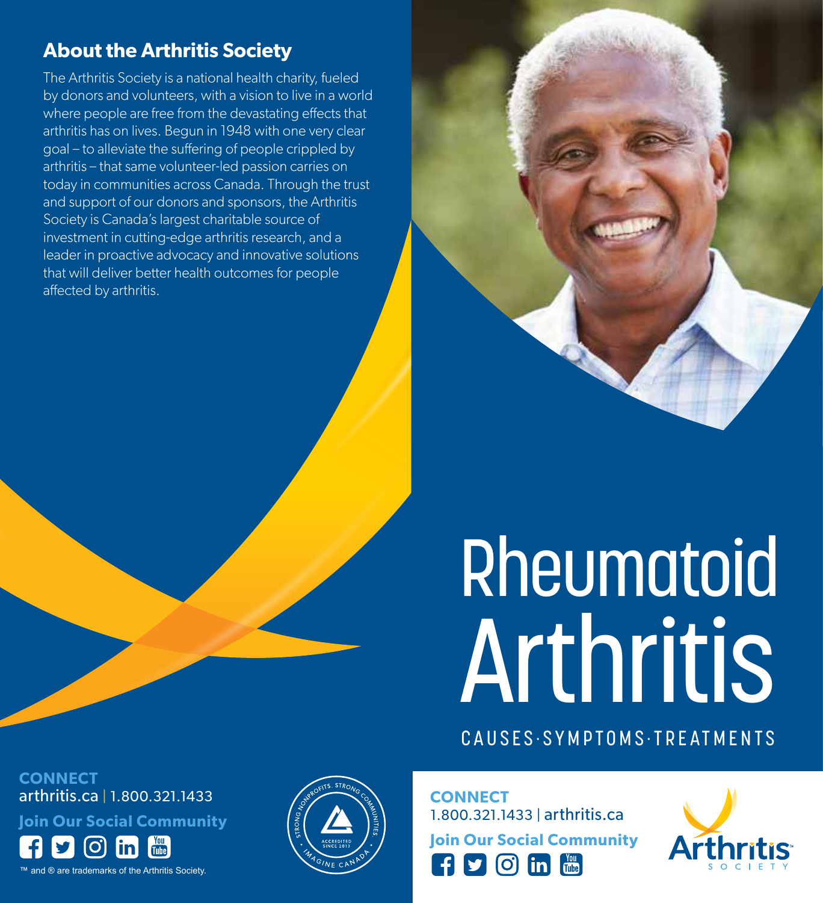### **About the Arthritis Society**

The Arthritis Society is a national health charity, fueled by donors and volunteers, with a vision to live in a world where people are free from the devastating effects that arthritis has on lives. Begun in 1948 with one very clear goal – to alleviate the suffering of people crippled by arthritis – that same volunteer-led passion carries on today in communities across Canada. Through the trust and support of our donors and sponsors, the Arthritis Society is Canada's largest charitable source of investment in cutting-edge arthritis research, and a leader in proactive advocacy and innovative solutions that will deliver better health outcomes for people affected by arthritis.

# Rheumatoid Arthritis

CAUSES·SYMPTOMS·TREATMENTS

**CONNECT** arthritis.ca | 1.800.321.1433

**Join Our Social Community**

™ and ® are trademarks of the Arthritis Society.



**CONNECT** 1.800.321.1433 | arthritis.ca **Join Our Social Community**

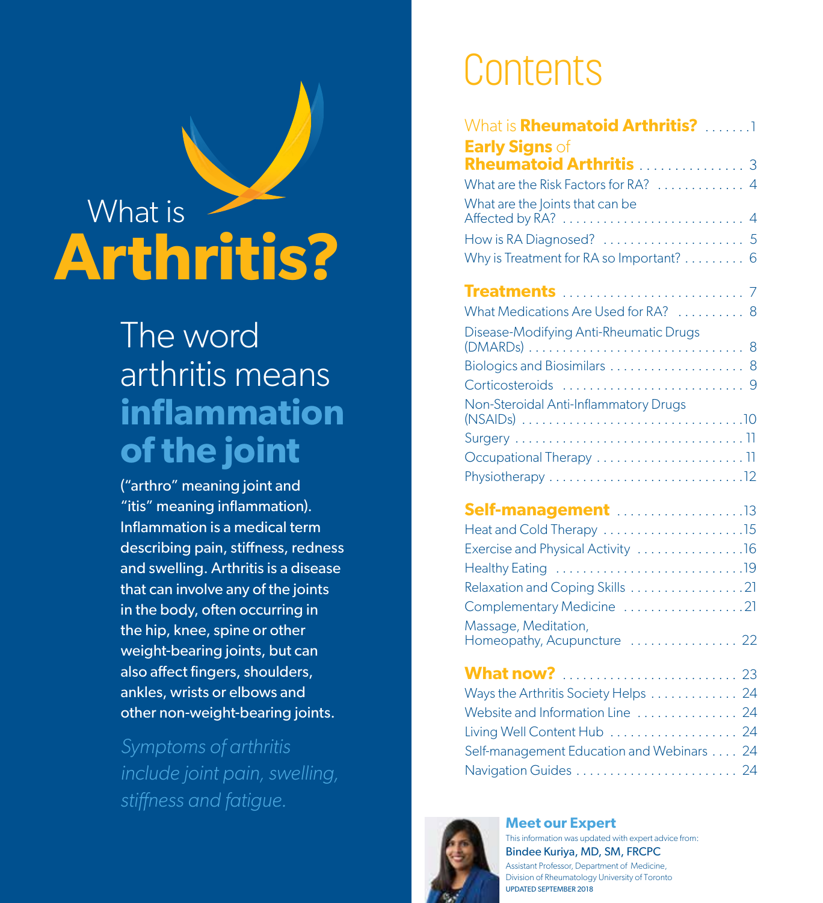## What is **Arthritis?**

### The word arthritis means **inflammation of the joint**

("arthro" meaning joint and "itis" meaning inflammation). Inflammation is a medical term describing pain, stiffness, redness and swelling. Arthritis is a disease that can involve any of the joints in the body, often occurring in the hip, knee, spine or other weight-bearing joints, but can also affect fingers, shoulders, ankles, wrists or elbows and other non-weight-bearing joints.

*Symptoms of arthritis include joint pain, swelling, stiffness and fatigue.*

### Contents

| What is <b>Rheumatoid Arthritis?</b> 1<br><b>Early Signs</b> of |
|-----------------------------------------------------------------|
| Rheumatoid Arthritis  3                                         |
| What are the Risk Factors for RA?  4                            |
| What are the Joints that can be                                 |
|                                                                 |
| Why is Treatment for RA so Important? 6                         |
|                                                                 |
| What Medications Are Used for RA?  8                            |
| Disease-Modifying Anti-Rheumatic Drugs                          |
| Biologics and Biosimilars  8                                    |
|                                                                 |
| Non-Steroidal Anti-Inflammatory Drugs                           |
|                                                                 |
|                                                                 |
|                                                                 |
| Self-management 13                                              |
| Heat and Cold Therapy 15                                        |
| Exercise and Physical Activity 16                               |
|                                                                 |
| Relaxation and Coping Skills 21                                 |
| Complementary Medicine 21                                       |
| Massage, Meditation,<br>Homeopathy, Acupuncture  22             |

| Ways the Arthritis Society Helps  24      |  |
|-------------------------------------------|--|
| Website and Information Line  24          |  |
| Living Well Content Hub  24               |  |
| Self-management Education and Webinars 24 |  |
| Navigation Guides  24                     |  |



**Meet our Expert** This information was updated with expert advice from: Bindee Kuriya, MD, SM, FRCPC Assistant Professor, Department of Medicine, Division of Rheumatology University of Toronto UPDATED SEPTEMBER 2018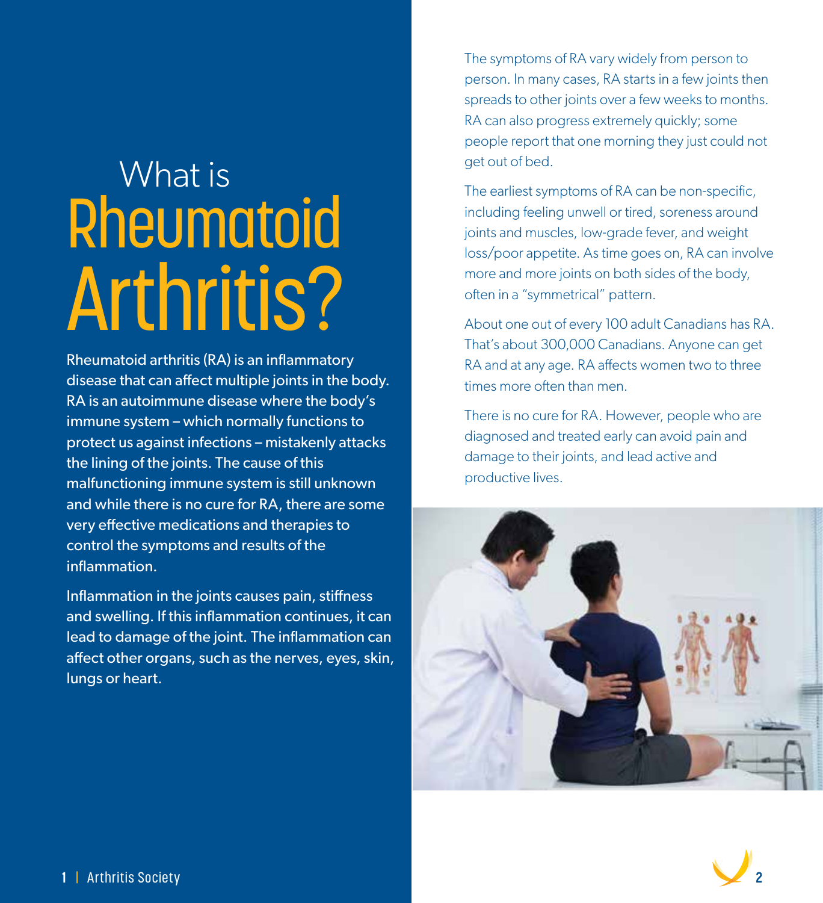# What is **Rheumatoid** Arthritis?

Rheumatoid arthritis (RA) is an inflammatory disease that can affect multiple joints in the body. RA is an autoimmune disease where the body's immune system – which normally functions to protect us against infections – mistakenly attacks the lining of the joints. The cause of this malfunctioning immune system is still unknown and while there is no cure for RA, there are some very effective medications and therapies to control the symptoms and results of the inflammation.

Inflammation in the joints causes pain, stiffness and swelling. If this inflammation continues, it can lead to damage of the joint. The inflammation can affect other organs, such as the nerves, eyes, skin, lungs or heart.

The symptoms of RA vary widely from person to person. In many cases, RA starts in a few joints then spreads to other joints over a few weeks to months. RA can also progress extremely quickly; some people report that one morning they just could not get out of bed.

The earliest symptoms of RA can be non-specific, including feeling unwell or tired, soreness around joints and muscles, low-grade fever, and weight loss/poor appetite. As time goes on, RA can involve more and more joints on both sides of the body, often in a "symmetrical" pattern.

About one out of every 100 adult Canadians has RA. That's about 300,000 Canadians. Anyone can get RA and at any age. RA affects women two to three times more often than men.

There is no cure for RA. However, people who are diagnosed and treated early can avoid pain and damage to their joints, and lead active and productive lives.



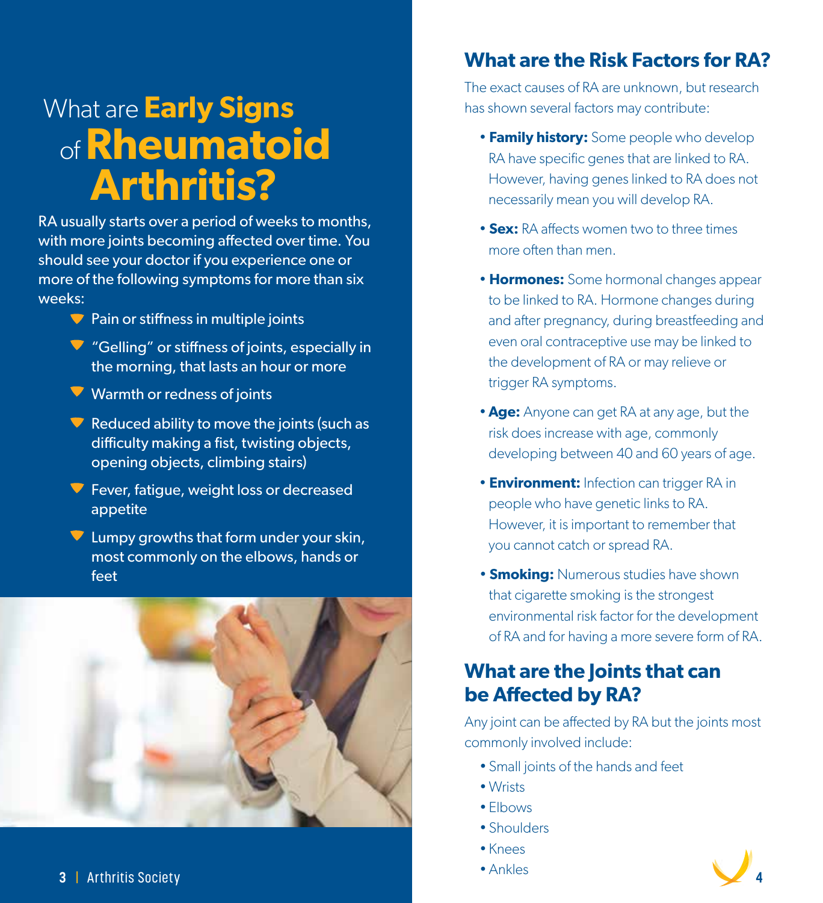### What are **Early Signs** of **Rheumatoid Arthritis?**

RA usually starts over a period of weeks to months, with more joints becoming affected over time. You should see your doctor if you experience one or more of the following symptoms for more than six weeks:

- $\blacktriangledown$  Pain or stiffness in multiple joints
- "Gelling" or stiffness of joints, especially in the morning, that lasts an hour or more
- Warmth or redness of joints
- Reduced ability to move the joints (such as difficulty making a fist, twisting objects, opening objects, climbing stairs)
- **Fever, fatigue, weight loss or decreased** appetite
- $\nabla$  Lumpy growths that form under your skin, most commonly on the elbows, hands or feet



### **What are the Risk Factors for RA?**

The exact causes of RA are unknown, but research has shown several factors may contribute:

- **Family history:** Some people who develop RA have specific genes that are linked to RA. However, having genes linked to RA does not necessarily mean you will develop RA.
- **Sex:** RA affects women two to three times more often than men.
- • **Hormones:** Some hormonal changes appear to be linked to RA. Hormone changes during and after pregnancy, during breastfeeding and even oral contraceptive use may be linked to the development of RA or may relieve or trigger RA symptoms.
- **Age:** Anyone can get RA at any age, but the risk does increase with age, commonly developing between 40 and 60 years of age.
- **Environment:** Infection can trigger RA in people who have genetic links to RA. However, it is important to remember that you cannot catch or spread RA.
- **Smoking:** Numerous studies have shown that cigarette smoking is the strongest environmental risk factor for the development of RA and for having a more severe form of RA.

### **What are the Joints that can be Affected by RA?**

Any joint can be affected by RA but the joints most commonly involved include:

- Small joints of the hands and feet
- Wrists
- Elbows
- Shoulders
- Knees
- 

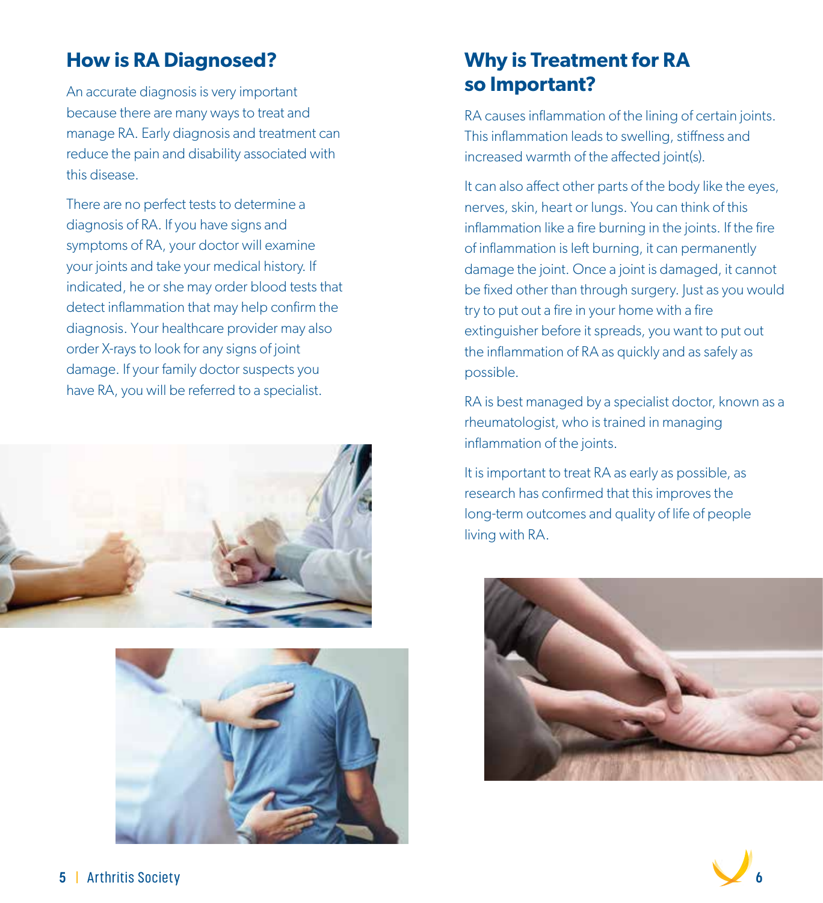### **How is RA Diagnosed?**

An accurate diagnosis is very important because there are many ways to treat and manage RA. Early diagnosis and treatment can reduce the pain and disability associated with this disease.

There are no perfect tests to determine a diagnosis of RA. If you have signs and symptoms of RA, your doctor will examine your joints and take your medical history. If indicated, he or she may order blood tests that detect inflammation that may help confirm the diagnosis. Your healthcare provider may also order X-rays to look for any signs of joint damage. If your family doctor suspects you have RA, you will be referred to a specialist.





### **Why is Treatment for RA so Important?**

RA causes inflammation of the lining of certain joints. This inflammation leads to swelling, stiffness and increased warmth of the affected joint(s).

It can also affect other parts of the body like the eyes, nerves, skin, heart or lungs. You can think of this inflammation like a fire burning in the joints. If the fire of inflammation is left burning, it can permanently damage the joint. Once a joint is damaged, it cannot be fixed other than through surgery. Just as you would try to put out a fire in your home with a fire extinguisher before it spreads, you want to put out the inflammation of RA as quickly and as safely as possible.

RA is best managed by a specialist doctor, known as a rheumatologist, who is trained in managing inflammation of the joints.

It is important to treat RA as early as possible, as research has confirmed that this improves the long-term outcomes and quality of life of people living with RA.



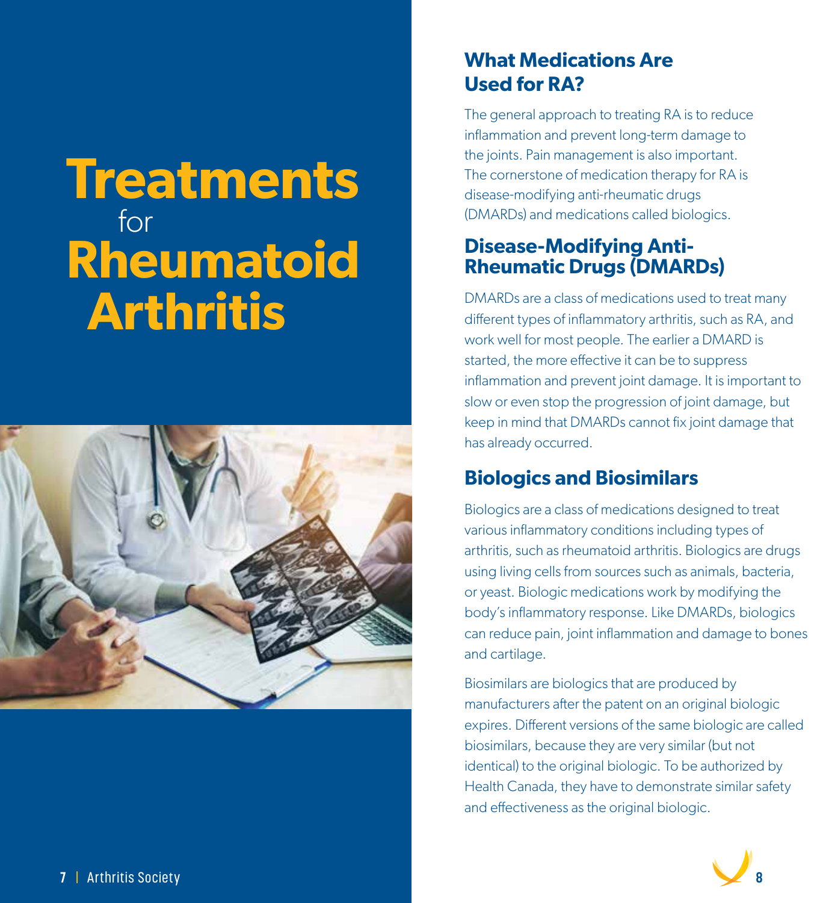### **Treatments** for **Rheumatoid Arthritis**



### **What Medications Are Used for RA?**

The general approach to treating RA is to reduce inflammation and prevent long-term damage to the joints. Pain management is also important. The cornerstone of medication therapy for RA is disease-modifying anti-rheumatic drugs (DMARDs) and medications called biologics.

### **Disease-Modifying Anti-Rheumatic Drugs (DMARDs)**

DMARDs are a class of medications used to treat many different types of inflammatory arthritis, such as RA, and work well for most people. The earlier a DMARD is started, the more effective it can be to suppress inflammation and prevent joint damage. It is important to slow or even stop the progression of joint damage, but keep in mind that DMARDs cannot fix joint damage that has already occurred.

### **Biologics and Biosimilars**

Biologics are a class of medications designed to treat various inflammatory conditions including types of arthritis, such as rheumatoid arthritis. Biologics are drugs using living cells from sources such as animals, bacteria, or yeast. Biologic medications work by modifying the body's inflammatory response. Like DMARDs, biologics can reduce pain, joint inflammation and damage to bones and cartilage.

Biosimilars are biologics that are produced by manufacturers after the patent on an original biologic expires. Different versions of the same biologic are called biosimilars, because they are very similar (but not identical) to the original biologic. To be authorized by Health Canada, they have to demonstrate similar safety and effectiveness as the original biologic.

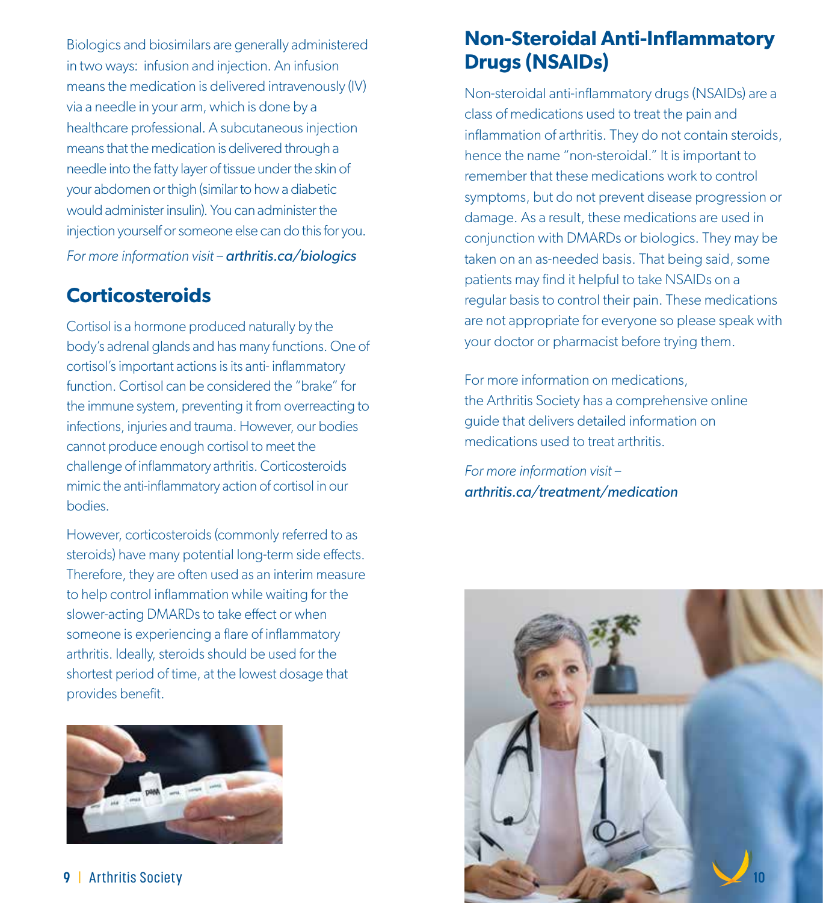Biologics and biosimilars are generally administered in two ways: infusion and injection. An infusion means the medication is delivered intravenously (IV) via a needle in your arm, which is done by a healthcare professional. A subcutaneous injection means that the medication is delivered through a needle into the fatty layer of tissue under the skin of your abdomen or thigh (similar to how a diabetic would administer insulin). You can administer the injection yourself or someone else can do this for you. *For more information visit – arthritis.ca/biologics*

### **Corticosteroids**

Cortisol is a hormone produced naturally by the body's adrenal glands and has many functions. One of cortisol's important actions is its anti- inflammatory function. Cortisol can be considered the "brake" for the immune system, preventing it from overreacting to infections, injuries and trauma. However, our bodies cannot produce enough cortisol to meet the challenge of inflammatory arthritis. Corticosteroids mimic the anti-inflammatory action of cortisol in our bodies.

However, corticosteroids (commonly referred to as steroids) have many potential long-term side effects. Therefore, they are often used as an interim measure to help control inflammation while waiting for the slower-acting DMARDs to take effect or when someone is experiencing a flare of inflammatory arthritis. Ideally, steroids should be used for the shortest period of time, at the lowest dosage that provides benefit.



### **Non-Steroidal Anti-Inflammatory Drugs (NSAIDs)**

Non-steroidal anti-inflammatory drugs (NSAIDs) are a class of medications used to treat the pain and inflammation of arthritis. They do not contain steroids, hence the name "non-steroidal." It is important to remember that these medications work to control symptoms, but do not prevent disease progression or damage. As a result, these medications are used in conjunction with DMARDs or biologics. They may be taken on an as-needed basis. That being said, some patients may find it helpful to take NSAIDs on a regular basis to control their pain. These medications are not appropriate for everyone so please speak with your doctor or pharmacist before trying them.

For more information on medications, the Arthritis Society has a comprehensive online guide that delivers detailed information on medications used to treat arthritis.

*For more information visit – arthritis.ca/treatment/medication*

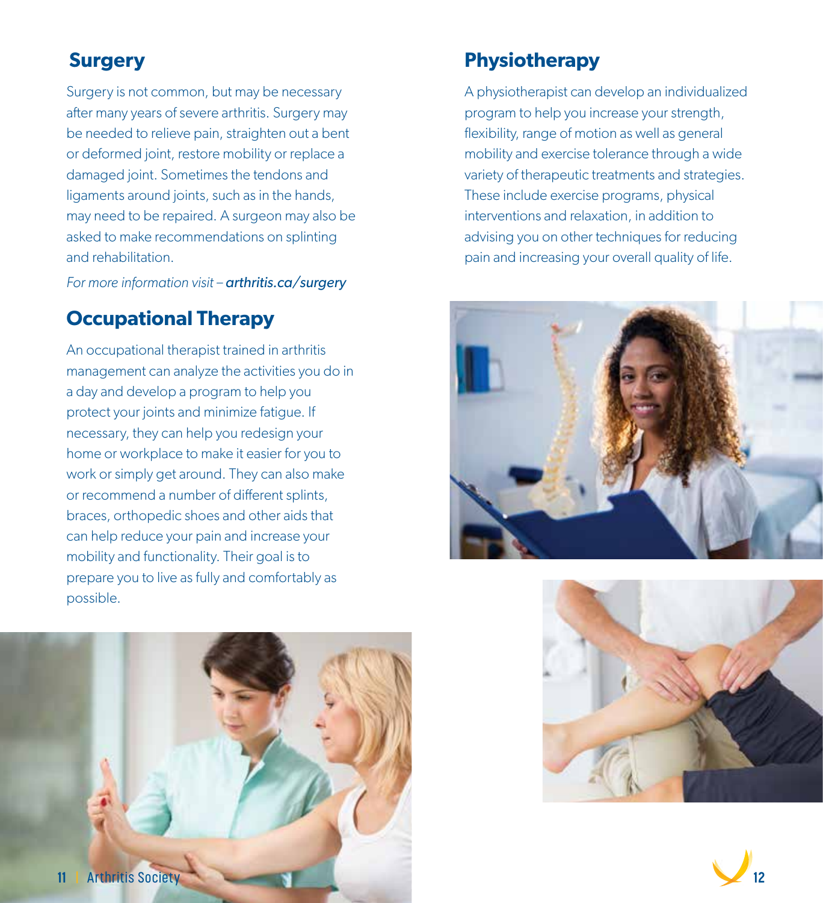### **Surgery**

Surgery is not common, but may be necessary after many years of severe arthritis. Surgery may be needed to relieve pain, straighten out a bent or deformed joint, restore mobility or replace a damaged joint. Sometimes the tendons and ligaments around joints, such as in the hands, may need to be repaired. A surgeon may also be asked to make recommendations on splinting and rehabilitation.

*For more information visit – arthritis.ca/surgery*

### **Occupational Therapy**

An occupational therapist trained in arthritis management can analyze the activities you do in a day and develop a program to help you protect your joints and minimize fatigue. If necessary, they can help you redesign your home or workplace to make it easier for you to work or simply get around. They can also make or recommend a number of different splints, braces, orthopedic shoes and other aids that can help reduce your pain and increase your mobility and functionality. Their goal is to prepare you to live as fully and comfortably as possible.



#### **Physiotherapy**

A physiotherapist can develop an individualized program to help you increase your strength, flexibility, range of motion as well as general mobility and exercise tolerance through a wide variety of therapeutic treatments and strategies. These include exercise programs, physical interventions and relaxation, in addition to advising you on other techniques for reducing pain and increasing your overall quality of life.





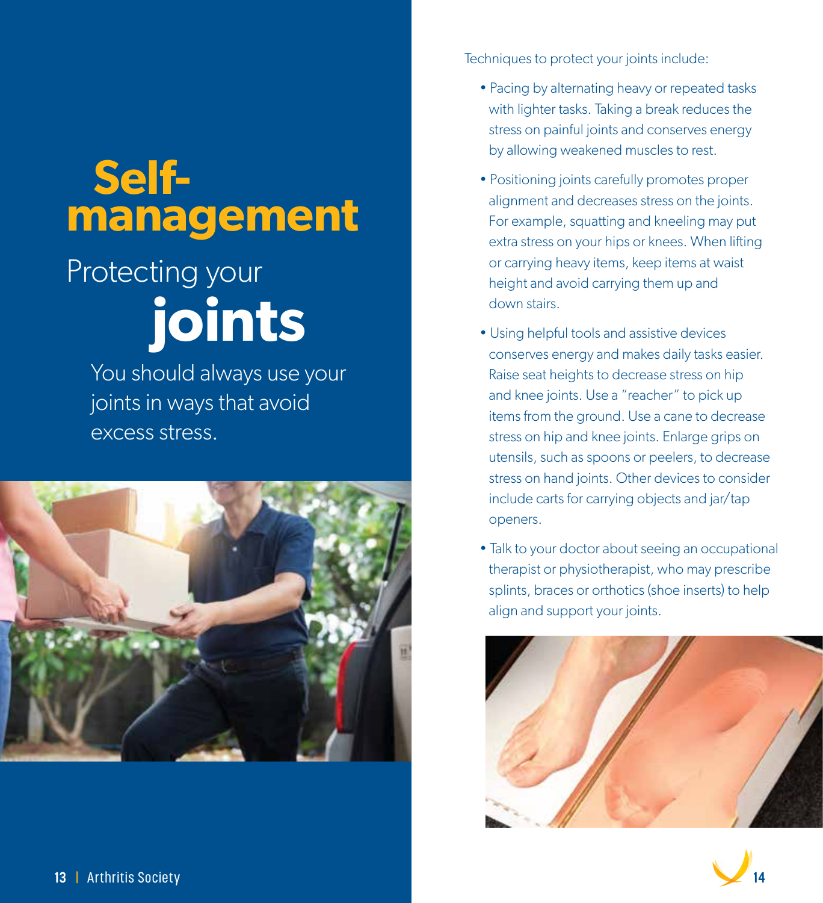### **Selfmanagement**

### Protecting your  **joints**

 You should always use your joints in ways that avoid excess stress.



Techniques to protect your joints include:

- Pacing by alternating heavy or repeated tasks with lighter tasks. Taking a break reduces the stress on painful joints and conserves energy by allowing weakened muscles to rest.
- Positioning joints carefully promotes proper alignment and decreases stress on the joints. For example, squatting and kneeling may put extra stress on your hips or knees. When lifting or carrying heavy items, keep items at waist height and avoid carrying them up and down stairs.
- Using helpful tools and assistive devices conserves energy and makes daily tasks easier. Raise seat heights to decrease stress on hip and knee joints. Use a "reacher" to pick up items from the ground. Use a cane to decrease stress on hip and knee joints. Enlarge grips on utensils, such as spoons or peelers, to decrease stress on hand joints. Other devices to consider include carts for carrying objects and jar/tap openers.
- Talk to your doctor about seeing an occupational therapist or physiotherapist, who may prescribe splints, braces or orthotics (shoe inserts) to help align and support your joints.



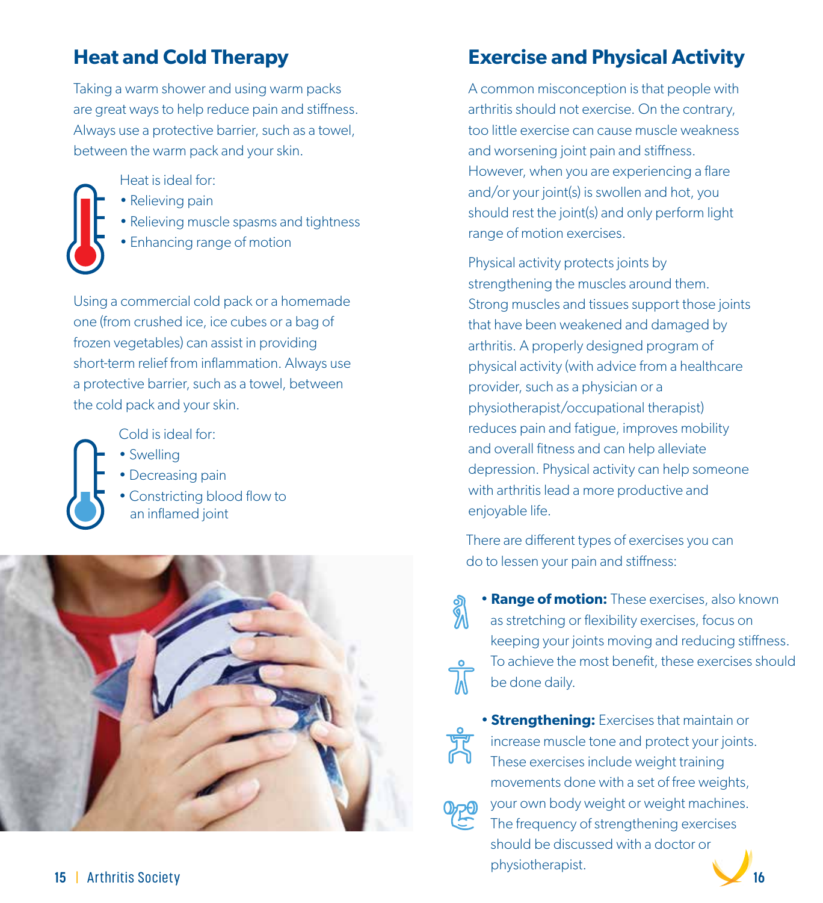### **Heat and Cold Therapy**

Taking a warm shower and using warm packs are great ways to help reduce pain and stiffness. Always use a protective barrier, such as a towel, between the warm pack and your skin.

Heat is ideal for:



- Relieving pain
- Relieving muscle spasms and tightness
- Enhancing range of motion

Using a commercial cold pack or a homemade one (from crushed ice, ice cubes or a bag of frozen vegetables) can assist in providing short-term relief from inflammation. Always use a protective barrier, such as a towel, between the cold pack and your skin.

Cold is ideal for:

- Swelling
- Decreasing pain
- Constricting blood flow to an inflamed joint



### **Exercise and Physical Activity**

A common misconception is that people with arthritis should not exercise. On the contrary, too little exercise can cause muscle weakness and worsening joint pain and stiffness. However, when you are experiencing a flare and/or your joint(s) is swollen and hot, you should rest the joint(s) and only perform light range of motion exercises.

Physical activity protects joints by strengthening the muscles around them. Strong muscles and tissues support those joints that have been weakened and damaged by arthritis. A properly designed program of physical activity (with advice from a healthcare provider, such as a physician or a physiotherapist/occupational therapist) reduces pain and fatigue, improves mobility and overall fitness and can help alleviate depression. Physical activity can help someone with arthritis lead a more productive and enjoyable life.

There are different types of exercises you can do to lessen your pain and stiffness:

 • **Range of motion:** These exercises, also known as stretching or flexibility exercises, focus on keeping your joints moving and reducing stiffness. To achieve the most benefit, these exercises should be done daily.

 • **Strengthening:** Exercises that maintain or increase muscle tone and protect your joints. These exercises include weight training movements done with a set of free weights, your own body weight or weight machines. The frequency of strengthening exercises should be discussed with a doctor or physiotherapist.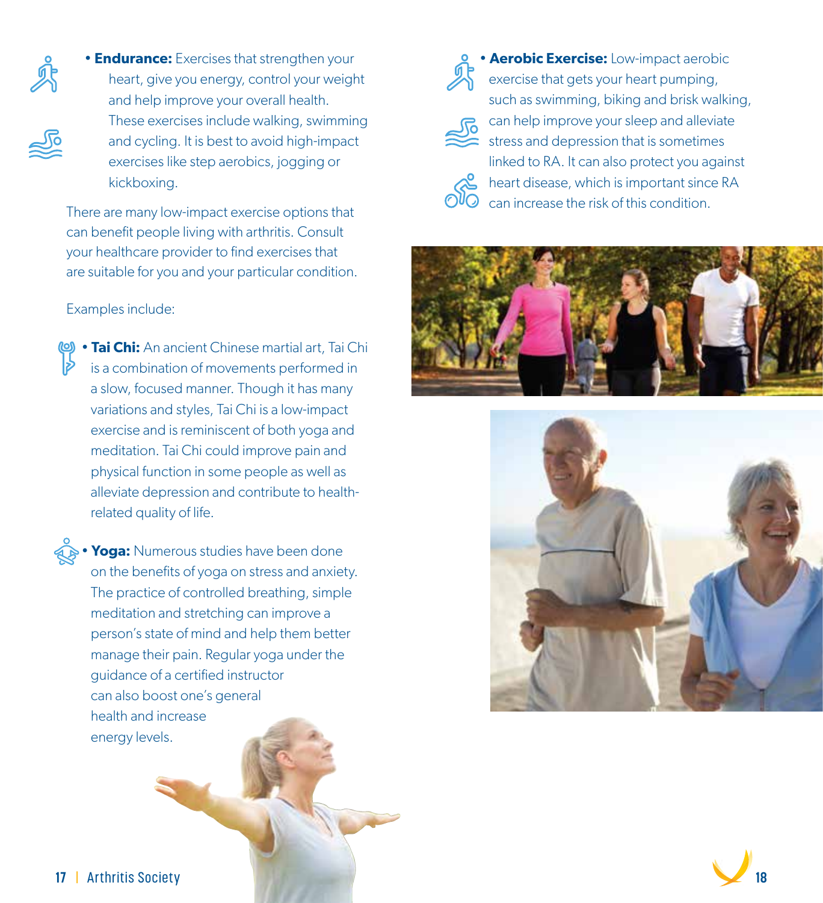

**No** 

• **Endurance:** Exercises that strengthen your heart, give you energy, control your weight and help improve your overall health. These exercises include walking, swimming and cycling. It is best to avoid high-impact exercises like step aerobics, jogging or kickboxing.

can benefit people living with arthritis. Consult your healthcare provider to find exercises that are suitable for you and your particular condition.

#### Examples include:

• **Tai Chi:** An ancient Chinese martial art, Tai Chi is a combination of movements performed in a slow, focused manner. Though it has many variations and styles, Tai Chi is a low-impact exercise and is reminiscent of both yoga and meditation. Tai Chi could improve pain and physical function in some people as well as alleviate depression and contribute to health related quality of life.

**• Yoga:** Numerous studies have been done on the benefits of yoga on stress and anxiety. The practice of controlled breathing, simple meditation and stretching can improve a person's state of mind and help them better manage their pain. Regular yoga under the guidance of a certified instructor can also boost one's general health and increase energy levels.



 • **Aerobic Exercise:** Low-impact aerobic exercise that gets your heart pumping, such as swimming, biking and brisk walking, can help improve your sleep and alleviate stress and depression that is sometimes linked to RA. It can also protect you against **AS** heart disease, which is important since RA There are many low-impact exercise options that  $\overline{\text{OVO}}$  can increase the risk of this condition.





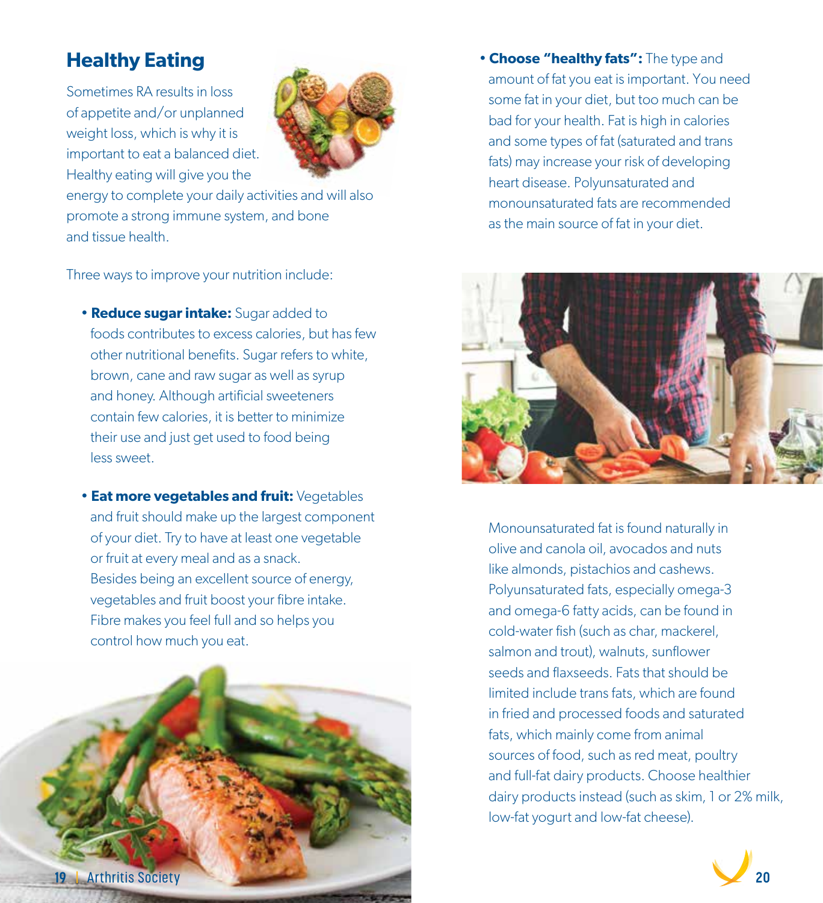### **Healthy Eating**

Sometimes RA results in loss of appetite and/or unplanned weight loss, which is why it is important to eat a balanced diet. Healthy eating will give you the



energy to complete your daily activities and will also promote a strong immune system, and bone and tissue health.

Three ways to improve your nutrition include:

- **Reduce sugar intake:** Sugar added to foods contributes to excess calories, but has few other nutritional benefits. Sugar refers to white, brown, cane and raw sugar as well as syrup and honey. Although artificial sweeteners contain few calories, it is better to minimize their use and just get used to food being less sweet.
- **Eat more vegetables and fruit:** Vegetables and fruit should make up the largest component of your diet. Try to have at least one vegetable or fruit at every meal and as a snack. Besides being an excellent source of energy, vegetables and fruit boost your fibre intake. Fibre makes you feel full and so helps you control how much you eat.



 • **Choose "healthy fats":** The type and amount of fat you eat is important. You need some fat in your diet, but too much can be bad for your health. Fat is high in calories and some types of fat (saturated and trans fats) may increase your risk of developing heart disease. Polyunsaturated and monounsaturated fats are recommended as the main source of fat in your diet.



 Monounsaturated fat is found naturally in olive and canola oil, avocados and nuts like almonds, pistachios and cashews. Polyunsaturated fats, especially omega-3 and omega-6 fatty acids, can be found in cold-water fish (such as char, mackerel, salmon and trout), walnuts, sunflower seeds and flaxseeds. Fats that should be limited include trans fats, which are found in fried and processed foods and saturated fats, which mainly come from animal sources of food, such as red meat, poultry and full-fat dairy products. Choose healthier dairy products instead (such as skim, 1 or 2% milk, low-fat yogurt and low-fat cheese).

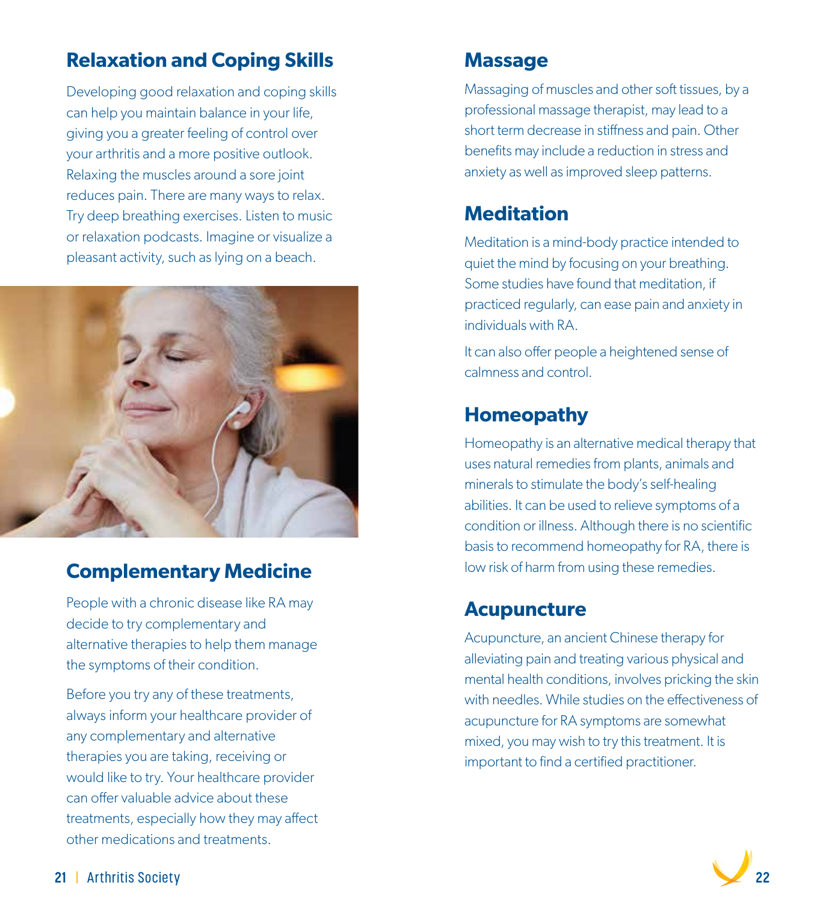### **Relaxation and Coping Skills**

Developing good relaxation and coping skills can help you maintain balance in your life, giving you a greater feeling of control over your arthritis and a more positive outlook. Relaxing the muscles around a sore joint reduces pain. There are many ways to relax. Try deep breathing exercises. Listen to music or relaxation podcasts. Imagine or visualize a pleasant activity, such as lying on a beach.



### **Complementary Medicine**

People with a chronic disease like RA may decide to try complementary and alternative therapies to help them manage the symptoms of their condition.

Before you try any of these treatments, always inform your healthcare provider of any complementary and alternative therapies you are taking, receiving or would like to try. Your healthcare provider can offer valuable advice about these treatments, especially how they may affect other medications and treatments.

### **Massage**

Massaging of muscles and other soft tissues, by a professional massage therapist, may lead to a short term decrease in stiffness and pain. Other benefits may include a reduction in stress and anxiety as well as improved sleep patterns.

### **Meditation**

Meditation is a mind-body practice intended to quiet the mind by focusing on your breathing. Some studies have found that meditation, if practiced regularly, can ease pain and anxiety in individuals with RA.

It can also offer people a heightened sense of calmness and control.

### **Homeopathy**

Homeopathy is an alternative medical therapy that uses natural remedies from plants, animals and minerals to stimulate the body's self-healing abilities. It can be used to relieve symptoms of a condition or illness. Although there is no scientific basis to recommend homeopathy for RA, there is low risk of harm from using these remedies.

### **Acupuncture**

Acupuncture, an ancient Chinese therapy for alleviating pain and treating various physical and mental health conditions, involves pricking the skin with needles. While studies on the effectiveness of acupuncture for RA symptoms are somewhat mixed, you may wish to try this treatment. It is important to find a certified practitioner.